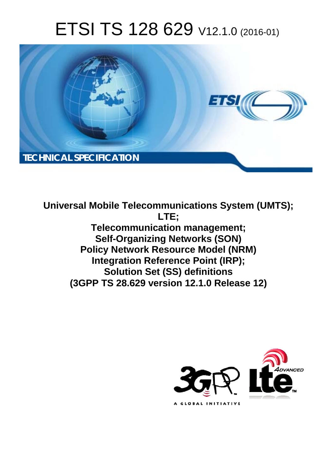# ETSI TS 128 629 V12.1.0 (2016-01)



**Universal Mobile Tel elecommunications System ( (UMTS); Telecomm munication management; Self-Orga rganizing Networks (SON) Policy Network Resource Model (NRM) Integration Reference Point (IRP); Solutio tion Set (SS) definitions**  Policy Network Resource Model (NRM)<br>Integration Reference Point (IRP);<br>Solution Set (SS) definitions<br>(3GPP TS 28.629 version 12.1.0 Release 12) **LTE;** 

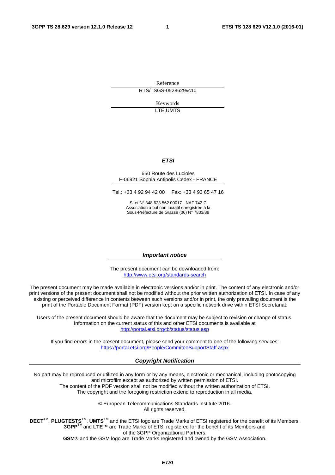Reference RTS/TSGS-0528629vc10

> Keywords LTE,UMTS

#### *ETSI*

#### 650 Route des Lucioles F-06921 Sophia Antipolis Cedex - FRANCE

Tel.: +33 4 92 94 42 00 Fax: +33 4 93 65 47 16

Siret N° 348 623 562 00017 - NAF 742 C Association à but non lucratif enregistrée à la Sous-Préfecture de Grasse (06) N° 7803/88

#### *Important notice*

The present document can be downloaded from: <http://www.etsi.org/standards-search>

The present document may be made available in electronic versions and/or in print. The content of any electronic and/or print versions of the present document shall not be modified without the prior written authorization of ETSI. In case of any existing or perceived difference in contents between such versions and/or in print, the only prevailing document is the print of the Portable Document Format (PDF) version kept on a specific network drive within ETSI Secretariat.

Users of the present document should be aware that the document may be subject to revision or change of status. Information on the current status of this and other ETSI documents is available at <http://portal.etsi.org/tb/status/status.asp>

If you find errors in the present document, please send your comment to one of the following services: <https://portal.etsi.org/People/CommiteeSupportStaff.aspx>

#### *Copyright Notification*

No part may be reproduced or utilized in any form or by any means, electronic or mechanical, including photocopying and microfilm except as authorized by written permission of ETSI.

The content of the PDF version shall not be modified without the written authorization of ETSI. The copyright and the foregoing restriction extend to reproduction in all media.

> © European Telecommunications Standards Institute 2016. All rights reserved.

**DECT**TM, **PLUGTESTS**TM, **UMTS**TM and the ETSI logo are Trade Marks of ETSI registered for the benefit of its Members. **3GPP**TM and **LTE**™ are Trade Marks of ETSI registered for the benefit of its Members and of the 3GPP Organizational Partners.

**GSM**® and the GSM logo are Trade Marks registered and owned by the GSM Association.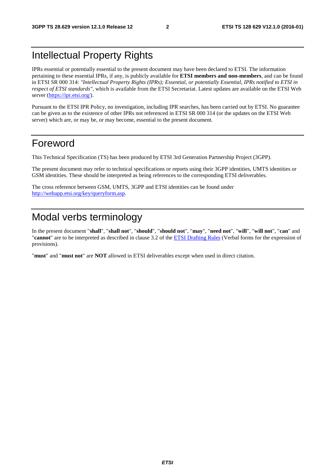# Intellectual Property Rights

IPRs essential or potentially essential to the present document may have been declared to ETSI. The information pertaining to these essential IPRs, if any, is publicly available for **ETSI members and non-members**, and can be found in ETSI SR 000 314: *"Intellectual Property Rights (IPRs); Essential, or potentially Essential, IPRs notified to ETSI in respect of ETSI standards"*, which is available from the ETSI Secretariat. Latest updates are available on the ETSI Web server [\(https://ipr.etsi.org/\)](https://ipr.etsi.org/).

Pursuant to the ETSI IPR Policy, no investigation, including IPR searches, has been carried out by ETSI. No guarantee can be given as to the existence of other IPRs not referenced in ETSI SR 000 314 (or the updates on the ETSI Web server) which are, or may be, or may become, essential to the present document.

### Foreword

This Technical Specification (TS) has been produced by ETSI 3rd Generation Partnership Project (3GPP).

The present document may refer to technical specifications or reports using their 3GPP identities, UMTS identities or GSM identities. These should be interpreted as being references to the corresponding ETSI deliverables.

The cross reference between GSM, UMTS, 3GPP and ETSI identities can be found under [http://webapp.etsi.org/key/queryform.asp.](http://webapp.etsi.org/key/queryform.asp)

# Modal verbs terminology

In the present document "**shall**", "**shall not**", "**should**", "**should not**", "**may**", "**need not**", "**will**", "**will not**", "**can**" and "**cannot**" are to be interpreted as described in clause 3.2 of the [ETSI Drafting Rules](http://portal.etsi.org/Help/editHelp!/Howtostart/ETSIDraftingRules.aspx) (Verbal forms for the expression of provisions).

"**must**" and "**must not**" are **NOT** allowed in ETSI deliverables except when used in direct citation.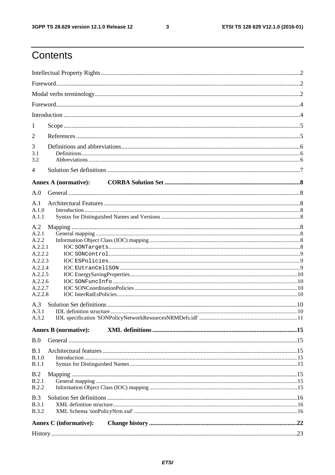$\mathbf{3}$ 

# Contents

| 1                     |                               |  |
|-----------------------|-------------------------------|--|
| 2                     |                               |  |
| 3                     |                               |  |
| 3.1                   |                               |  |
| 3.2                   |                               |  |
| 4                     |                               |  |
|                       | <b>Annex A (normative):</b>   |  |
| A.0                   |                               |  |
| A.1                   |                               |  |
| A.1.0<br>A.1.1        |                               |  |
|                       |                               |  |
| A.2<br>A.2.1          |                               |  |
| A.2.2                 |                               |  |
| A.2.2.1<br>A.2.2.2    |                               |  |
| A.2.2.3               |                               |  |
| A.2.2.4               |                               |  |
| A.2.2.5               |                               |  |
| A.2.2.6<br>A.2.2.7    |                               |  |
| A.2.2.8               |                               |  |
| A.3                   |                               |  |
| A.3.1                 |                               |  |
| A.3.2                 |                               |  |
|                       | <b>Annex B</b> (normative):   |  |
| B.0                   |                               |  |
| B.1                   |                               |  |
| B.1.0                 |                               |  |
| <b>B.1.1</b>          |                               |  |
| B.2                   |                               |  |
| B.2.1                 |                               |  |
| <b>B.2.2</b>          |                               |  |
| B.3                   |                               |  |
| B.3.1<br><b>B.3.2</b> |                               |  |
|                       |                               |  |
|                       | <b>Annex C</b> (informative): |  |
|                       |                               |  |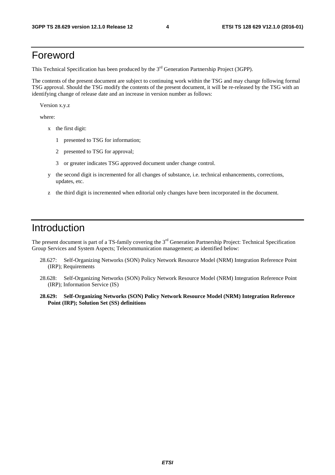# Foreword

This Technical Specification has been produced by the 3<sup>rd</sup> Generation Partnership Project (3GPP).

The contents of the present document are subject to continuing work within the TSG and may change following formal TSG approval. Should the TSG modify the contents of the present document, it will be re-released by the TSG with an identifying change of release date and an increase in version number as follows:

Version x.y.z

where:

- x the first digit:
	- 1 presented to TSG for information;
	- 2 presented to TSG for approval;
	- 3 or greater indicates TSG approved document under change control.
- y the second digit is incremented for all changes of substance, i.e. technical enhancements, corrections, updates, etc.
- z the third digit is incremented when editorial only changes have been incorporated in the document.

### **Introduction**

The present document is part of a TS-family covering the 3<sup>rd</sup> Generation Partnership Project: Technical Specification Group Services and System Aspects; Telecommunication management; as identified below:

- 28.627: Self-Organizing Networks (SON) Policy Network Resource Model (NRM) Integration Reference Point (IRP); Requirements
- 28.628: Self-Organizing Networks (SON) Policy Network Resource Model (NRM) Integration Reference Point (IRP); Information Service (IS)
- **28.629: Self-Organizing Networks (SON) Policy Network Resource Model (NRM) Integration Reference Point (IRP); Solution Set (SS) definitions**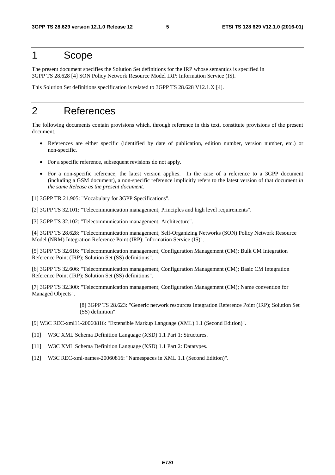#### 1 Scope

The present document specifies the Solution Set definitions for the IRP whose semantics is specified in 3GPP TS 28.628 [4] SON Policy Network Resource Model IRP: Information Service (IS).

This Solution Set definitions specification is related to 3GPP TS 28.628 V12.1.X [4].

# 2 References

The following documents contain provisions which, through reference in this text, constitute provisions of the present document.

- References are either specific (identified by date of publication, edition number, version number, etc.) or non-specific.
- For a specific reference, subsequent revisions do not apply.
- For a non-specific reference, the latest version applies. In the case of a reference to a 3GPP document (including a GSM document), a non-specific reference implicitly refers to the latest version of that document *in the same Release as the present document*.
- [1] 3GPP TR 21.905: "Vocabulary for 3GPP Specifications".

[2] 3GPP TS 32.101: "Telecommunication management; Principles and high level requirements".

[3] 3GPP TS 32.102: "Telecommunication management; Architecture".

[4] 3GPP TS 28.628: "Telecommunication management; Self-Organizing Networks (SON) Policy Network Resource Model (NRM) Integration Reference Point (IRP): Information Service (IS)".

[5] 3GPP TS 32.616: "Telecommunication management; Configuration Management (CM); Bulk CM Integration Reference Point (IRP); Solution Set (SS) definitions".

[6] 3GPP TS 32.606: "Telecommunication management; Configuration Management (CM); Basic CM Integration Reference Point (IRP); Solution Set (SS) definitions".

[7] 3GPP TS 32.300: "Telecommunication management; Configuration Management (CM); Name convention for Managed Objects".

> [8] 3GPP TS 28.623: "Generic network resources Integration Reference Point (IRP); Solution Set (SS) definition".

[9] W3C REC-xml11-20060816: "Extensible Markup Language (XML) 1.1 (Second Edition)".

- [10] W3C XML Schema Definition Language (XSD) 1.1 Part 1: Structures.
- [11] W3C XML Schema Definition Language (XSD) 1.1 Part 2: Datatypes.
- [12] W3C REC-xml-names-20060816: "Namespaces in XML 1.1 (Second Edition)".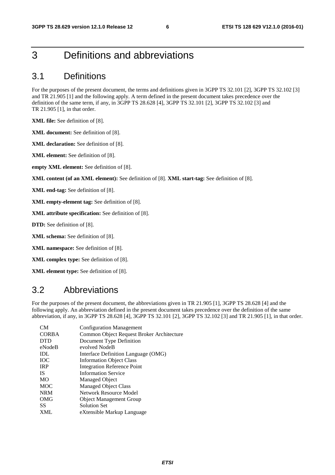# 3 Definitions and abbreviations

#### 3.1 Definitions

For the purposes of the present document, the terms and definitions given in 3GPP TS 32.101 [2], 3GPP TS 32.102 [3] and TR 21.905 [1] and the following apply. A term defined in the present document takes precedence over the definition of the same term, if any, in 3GPP TS 28.628 [4], 3GPP TS 32.101 [2], 3GPP TS 32.102 [3] and TR 21.905 [1], in that order.

**XML file:** See definition of [8].

**XML document:** See definition of [8].

**XML declaration:** See definition of [8].

**XML element:** See definition of [8].

**empty XML element:** See definition of [8].

**XML content (of an XML element):** See definition of [8]. **XML start-tag:** See definition of [8].

**XML end-tag:** See definition of [8].

**XML empty-element tag:** See definition of [8].

**XML attribute specification:** See definition of [8].

**DTD:** See definition of [8].

**XML schema:** See definition of [8].

**XML namespace:** See definition of [8].

**XML complex type:** See definition of [8].

**XML element type:** See definition of [8].

#### 3.2 Abbreviations

For the purposes of the present document, the abbreviations given in TR 21.905 [1], 3GPP TS 28.628 [4] and the following apply. An abbreviation defined in the present document takes precedence over the definition of the same abbreviation, if any, in 3GPP TS 28.628 [4], 3GPP TS 32.101 [2], 3GPP TS 32.102 [3] and TR 21.905 [1], in that order.

| CM           | <b>Configuration Management</b>           |
|--------------|-------------------------------------------|
| <b>CORBA</b> | Common Object Request Broker Architecture |
| <b>DTD</b>   | Document Type Definition                  |
| eNodeB       | evolved NodeB                             |
| <b>IDL</b>   | Interface Definition Language (OMG)       |
| <b>IOC</b>   | <b>Information Object Class</b>           |
| <b>IRP</b>   | <b>Integration Reference Point</b>        |
| <b>IS</b>    | <b>Information Service</b>                |
| <b>MO</b>    | <b>Managed Object</b>                     |
| <b>MOC</b>   | <b>Managed Object Class</b>               |
| <b>NRM</b>   | Network Resource Model                    |
| OMG          | <b>Object Management Group</b>            |
| <b>SS</b>    | <b>Solution Set</b>                       |
| <b>XML</b>   | eXtensible Markup Language                |
|              |                                           |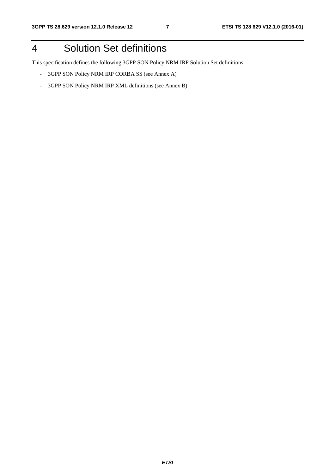# 4 Solution Set definitions

This specification defines the following 3GPP SON Policy NRM IRP Solution Set definitions:

- 3GPP SON Policy NRM IRP CORBA SS (see Annex A)
- 3GPP SON Policy NRM IRP XML definitions (see Annex B)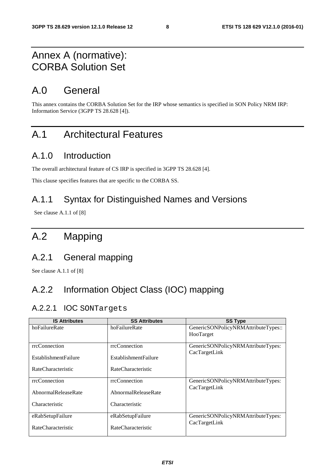# Annex A (normative): CORBA Solution Set

# A.0 General

This annex contains the CORBA Solution Set for the IRP whose semantics is specified in SON Policy NRM IRP: Information Service (3GPP TS 28.628 [4]).

# A.1 Architectural Features

# A.1.0 Introduction

The overall architectural feature of CS IRP is specified in 3GPP TS 28.628 [4].

This clause specifies features that are specific to the CORBA SS.

#### A.1.1 Syntax for Distinguished Names and Versions

See clause A.1.1 of [8]

# A.2 Mapping

#### A.2.1 General mapping

See clause A.1.1 of [8]

# A.2.2 Information Object Class (IOC) mapping

#### A.2.2.1 IOC SONTargets

| <b>IS Attributes</b>         | <b>SS Attributes</b> | <b>SS Type</b>                      |
|------------------------------|----------------------|-------------------------------------|
| hoFailureRate                | hoFailureRate        | GenericSONPolicyNRMAttributeTypes:: |
|                              |                      | HooTarget                           |
| rrcConnection                | rrcConnection        | GenericSONPolicyNRMAttributeTypes:  |
|                              |                      | CacTargetLink                       |
| <b>Establishment Failure</b> | EstablishmentFailure |                                     |
| RateCharacteristic           | RateCharacteristic   |                                     |
|                              |                      |                                     |
| rrcConnection                | rrcConnection        | GenericSONPolicyNRMAttributeTypes:  |
| AbnormalReleaseRate          | AbnormalReleaseRate  | CacTargetLink                       |
|                              |                      |                                     |
| Characteristic               | Characteristic       |                                     |
|                              |                      |                                     |
| eRabSetupFailure             | eRabSetupFailure     | GenericSONPolicyNRMAttributeTypes:  |
| RateCharacteristic           | RateCharacteristic   | CacTargetLink                       |
|                              |                      |                                     |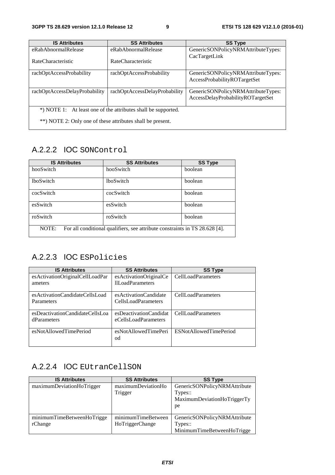| <b>IS Attributes</b>                                          | <b>SS Attributes</b>          | <b>SS Type</b>                     |  |
|---------------------------------------------------------------|-------------------------------|------------------------------------|--|
| eRabAbnormalRelease                                           | eRabAbnormalRelease           | GenericSONPolicyNRMAttributeTypes: |  |
| RateCharacteristic                                            | RateCharacteristic            | CacTargetLink                      |  |
| rachOptAccessProbability                                      | rachOptAccessProbability      | GenericSONPolicyNRMAttributeTypes: |  |
|                                                               |                               | AccessProbabilityROTargetSet       |  |
|                                                               |                               |                                    |  |
| rachOptAccessDelayProbability                                 | rachOptAccessDelayProbability | GenericSONPolicyNRMAttributeTypes: |  |
|                                                               |                               | AccessDelayProbabilityROTargetSet  |  |
|                                                               |                               |                                    |  |
| *) NOTE 1: At least one of the attributes shall be supported. |                               |                                    |  |
| **) NOTE 2: Only one of these attributes shall be present.    |                               |                                    |  |

### A.2.2.2 IOC SONControl

| <b>IS Attributes</b> | <b>SS Attributes</b>                                                        | <b>SS Type</b> |
|----------------------|-----------------------------------------------------------------------------|----------------|
| hooSwitch            | hooSwitch                                                                   | boolean        |
| <b>lboSwitch</b>     | <b>lboSwitch</b>                                                            | boolean        |
| cocSwitch            | cocSwitch                                                                   | boolean        |
| esSwitch             | esSwitch                                                                    | boolean        |
| roSwitch             | roSwitch                                                                    | boolean        |
| NOTE:                | For all conditional qualifiers, see attribute constraints in TS 28.628 [4]. |                |

### A.2.2.3 IOC ESPolicies

| <b>IS Attributes</b>                                  | <b>SS Attributes</b>                                | <b>SS Type</b>            |
|-------------------------------------------------------|-----------------------------------------------------|---------------------------|
| esActivationOriginalCellLoadPar<br>ameters            | esActivationOriginalCe<br>III oadParameters         | CellLoadParameters        |
| esActivationCandidateCellsLoad<br>Parameters          | esActivationCandidate<br><b>CellsLoadParameters</b> | <b>CellLoadParameters</b> |
| esDeactivationCandidateCellsLoa<br><b>dParameters</b> | esDeactivationCandidat<br>eCellsLoadParameters      | <b>CellLoadParameters</b> |
| esNotAllowedTimePeriod                                | esNotAllowedTimePeri<br>od                          | ESNotAllowedTimePeriod    |

#### A.2.2.4 IOC EUtranCellSON

| <b>IS Attributes</b>       | <b>SS Attributes</b> | <b>SS Type</b>               |
|----------------------------|----------------------|------------------------------|
| maximumDeviationHoTrigger  | maximumDeviationHo   | GenericSONPolicyNRMAttribute |
|                            | Trigger              | Types::                      |
|                            |                      | MaximumDeviationHoTriggerTy  |
|                            |                      | pe                           |
|                            |                      |                              |
| minimumTimeBetweenHoTrigge | minimumTimeBetween   | GenericSONPolicyNRMAttribute |
| rChange                    | HoTriggerChange      | Types::                      |
|                            |                      | MinimumTimeBetweenHoTrigge   |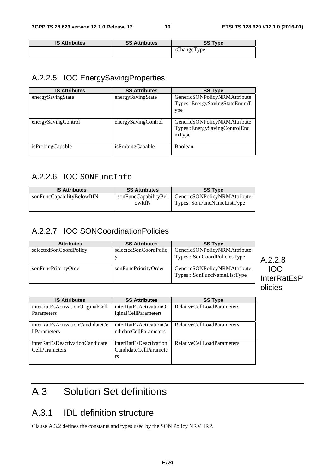| <b>IS Attributes</b> | <b>SS Attributes</b> | <b>SS Type</b> |
|----------------------|----------------------|----------------|
|                      |                      | rChangeType    |

#### A.2.2.5 IOC EnergySavingProperties

| <b>IS Attributes</b> | <b>SS Attributes</b> | <b>SS Type</b>                                                         |
|----------------------|----------------------|------------------------------------------------------------------------|
| energySavingState    | energySavingState    | GenericSONPolicyNRMAttribute<br>Types::EnergySavingStateEnumT<br>ype   |
| energySavingControl  | energySavingControl  | GenericSONPolicyNRMAttribute<br>Types::EnergySavingControlEnu<br>mType |
| isProbingCapable     | isProbingCapable     | <b>Boolean</b>                                                         |

#### A.2.2.6 IOC SONFuncInfo

| <b>IS Attributes</b>       | <b>SS Attributes</b>           | <b>SS Type</b>                                             |
|----------------------------|--------------------------------|------------------------------------------------------------|
| sonFuncCapabilityBelowItfN | sonFuncCapabilityBel<br>owItfN | GenericSONPolicyNRMAttribute<br>Types: SonFuncNameListType |

#### A.2.2.7 IOC SONCoordinationPolicies

| <b>Attributes</b>      | <b>SS Attributes</b>  | <b>SS Type</b>                                              |  |
|------------------------|-----------------------|-------------------------------------------------------------|--|
| selectedSonCoordPolicy | selectedSonCoordPolic | GenericSONPolicyNRMAttribute                                |  |
|                        |                       | Types:: SonCoordPoliciesType                                |  |
| sonFuncPriorityOrder   | sonFuncPriorityOrder  | GenericSONPolicyNRMAttribute<br>Types:: SonFuncNameListType |  |
|                        |                       |                                                             |  |

### A.2.2.8 IOC InterRatEsP olicies

| <b>IS Attributes</b>                                     | <b>SS Attributes</b>                                  | <b>SS Type</b>             |
|----------------------------------------------------------|-------------------------------------------------------|----------------------------|
| interRatEsActivationOriginalCell<br>Parameters           | interRatEsActivationOr<br><i>iginalCellParameters</i> | RelativeCellLoadParameters |
| interRatEsActivationCandidateCe<br>11Parameters          | interRatEsActivationCa<br>ndidateCellParameters       | RelativeCellLoadParameters |
| interRatEsDeactivationCandidate<br><b>CellParameters</b> | interRatEsDeactivation<br>CandidateCellParamete<br>rs | RelativeCellLoadParameters |

# A.3 Solution Set definitions

# A.3.1 IDL definition structure

Clause A.3.2 defines the constants and types used by the SON Policy NRM IRP.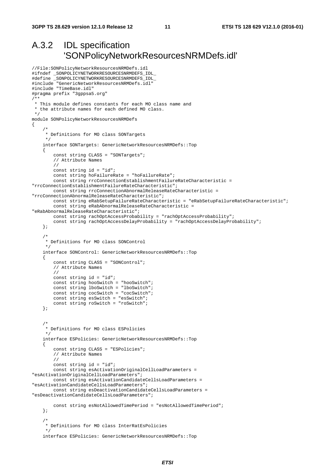# A.3.2 IDL specification 'SONPolicyNetworkResourcesNRMDefs.idl'

```
//File:SONPolicyNetworkResourcesNRMDefs.idl 
#ifndef _SONPOLICYNETWORKRESOURCESNRMDEFS_IDL_ 
#define _SONPOLICYNETWORKRESOURCESNRMDEFS_IDL_ 
#include "GenericNetworkResourcesNRMDefs.idl" 
#include "TimeBase.idl" 
#pragma prefix "3gppsa5.org" 
/** 
 * This module defines constants for each MO class name and 
  * the attribute names for each defined MO class. 
  */ 
module SONPolicyNetworkResourcesNRMDefs 
{ 
 /* 
      * Definitions for MO class SONTargets 
      */ 
     interface SONTargets: GenericNetworkResourcesNRMDefs::Top 
     { 
         const string CLASS = "SONTargets"; 
         // Attribute Names 
         // 
         const string id = "id"; 
         const string hoFailureRate = "hoFailureRate"; 
         const string rrcConnectionEstablishmentFailureRateCharacteristic = 
"rrcConnectionEstablishmentFailureRateCharacteristic"; 
         const string rrcConnectionAbnormalReleaseRateCharacteristic = 
"rrcConnectionAbnormalReleaseRateCharacteristic"; 
         const string eRabSetupFailureRateCharacteristic = "eRabSetupFailureRateCharacteristic"; 
         const string eRabAbnormalReleaseRateCharacteristic = 
"eRabAbnormalReleaseRateCharacteristic"; 
         const string rachOptAccessProbability = "rachOptAccessProbability"; 
         const string rachOptAccessDelayProbability = "rachOptAccessDelayProbability"; 
     }; 
     /* 
      * Definitions for MO class SONControl 
      */ 
     interface SONControl: GenericNetworkResourcesNRMDefs::Top 
    \left\{ \right. const string CLASS = "SONControl"; 
         // Attribute Names 
         // 
         const string id = "id"; 
         const string hooSwitch = "hooSwitch"; 
         const string lboSwitch = "lboSwitch"; 
         const string cocSwitch = "cocSwitch"; 
        const string esSwitch = "esSwitch";
         const string roSwitch = "roSwitch"; 
     }; 
 /* 
      * Definitions for MO class ESPolicies 
      */ 
     interface ESPolicies: GenericNetworkResourcesNRMDefs::Top 
     { 
         const string CLASS = "ESPolicies"; 
         // Attribute Names 
         // 
         const string id = "id"; 
         const string esActivationOriginalCellLoadParameters = 
"esActivationOriginalCellLoadParameters"; 
         const string esActivationCandidateCellsLoadParameters = 
"esActivationCandidateCellsLoadParameters"; 
         const string esDeactivationCandidateCellsLoadParameters = 
"esDeactivationCandidateCellsLoadParameters"; 
         const string esNotAllowedTimePeriod = "esNotAllowedTimePeriod"; 
     }; 
     /* 
      * Definitions for MO class InterRatEsPolicies 
      */ 
     interface ESPolicies: GenericNetworkResourcesNRMDefs::Top
```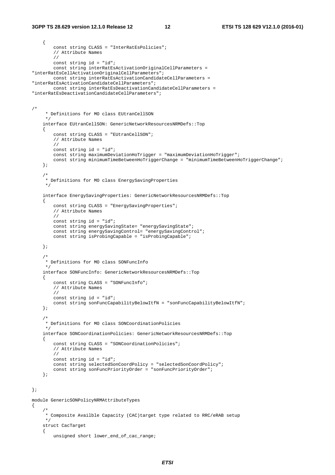```
 { 
         const string CLASS = "InterRatEsPolicies"; 
         // Attribute Names 
         // 
         const string id = "id"; 
         const string interRatEsActivationOriginalCellParameters = 
"interRatEsCellActivationOriginalCellParameters"; 
         const string interRatEsActivationCandidateCellParameters = 
"interRatEsActivationCandidateCellParameters"; 
         const string interRatEsDeactivationCandidateCellParameters = 
"interRatEsDeactivationCandidateCellParameters"; 
/* 
      * Definitions for MO class EUtranCellSON 
      */ 
     interface EUtranCellSON: GenericNetworkResourcesNRMDefs::Top 
     { 
         const string CLASS = "EUtranCellSON"; 
         // Attribute Names 
         // 
         const string id = "id"; 
         const string maximumDeviationHoTrigger = "maximumDeviationHoTrigger"; 
         const string minimumTimeBetweenHoTriggerChange = "minimumTimeBetweenHoTriggerChange"; 
     }; 
     /* 
      * Definitions for MO class EnergySavingProperties 
      */ 
     interface EnergySavingProperties: GenericNetworkResourcesNRMDefs::Top 
     { 
         const string CLASS = "EnergySavingProperties"; 
         // Attribute Names 
         // 
         const string id = "id"; 
         const string energySavingState= "energySavingState"; 
         const string energySavingControl= "energySavingControl"; 
         const string isProbingCapable = "isProbingCapable"; 
     }; 
     /* 
      * Definitions for MO class SONFuncInfo 
      */ 
     interface SONFuncInfo: GenericNetworkResourcesNRMDefs::Top 
     { 
         const string CLASS = "SONFuncInfo"; 
         // Attribute Names 
         // 
         const string id = "id"; 
         const string sonFuncCapabilityBelowItfN = "sonFuncCapabilityBelowItfN"; 
     }; 
 /* 
      * Definitions for MO class SONCoordinationPolicies 
      */ 
     interface SONCoordinationPolicies: GenericNetworkResourcesNRMDefs::Top 
     { 
         const string CLASS = "SONCoordinationPolicies"; 
         // Attribute Names 
         // 
         const string id = "id"; 
 const string selectedSonCoordPolicy = "selectedSonCoordPolicy"; 
 const string sonFuncPriorityOrder = "sonFuncPriorityOrder"; 
     }; 
}; 
module GenericSONPolicyNRMAttributeTypes 
{ 
 /* 
      * Composite Availble Capacity (CAC)target type related to RRC/eRAB setup 
     */ 
     struct CacTarget 
     { 
         unsigned short lower_end_of_cac_range;
```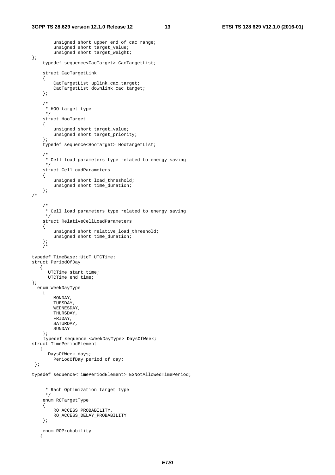unsigned short upper\_end\_of\_cac\_range;

```
 unsigned short target_value; 
        unsigned short target_weight;
}; 
     typedef sequence<CacTarget> CacTargetList; 
     struct CacTargetLink 
     { 
         CacTargetList uplink_cac_target; 
          CacTargetList downlink_cac_target; 
     }; 
     /* 
      * HOO target type 
      */ 
     struct HooTarget 
     { 
          unsigned short target_value; 
         unsigned short target_priority; 
     }; 
     typedef sequence<HooTarget> HooTargetList; 
     /* 
      * Cell load parameters type related to energy saving 
      */ 
     struct CellLoadParameters 
     { 
          unsigned short load_threshold; 
         unsigned short time_duration; 
     }; 
/* 
     /* 
      * Cell load parameters type related to energy saving 
      */ 
     struct RelativeCellLoadParameters 
     { 
          unsigned short relative_load_threshold; 
         unsigned short time_duration; 
     }; 
    7*typedef TimeBase::UtcT UTCTime; 
struct PeriodOfDay 
    { 
       UTCTime start_time; 
       UTCTime end_time; 
}; 
   enum WeekDayType 
     { 
         MONDAY, 
         TUESDAY, 
         WEDNESDAY, 
         THURSDAY, 
         FRIDAY, 
         SATURDAY, 
         SUNDAY 
     }; 
    typedef sequence <WeekDayType> DaysOfWeek; 
struct TimePeriodElement 
    { 
       DaysOfWeek days; 
         PeriodOfDay period_of_day; 
  }; 
typedef sequence<TimePeriodElement> ESNotAllowedTimePeriod; 
       * Rach Optimization target type 
     \star /
```

```
 enum ROTargetType 
 { 
      RO_ACCESS_PROBABILITY, 
      RO_ACCESS_DELAY_PROBABILITY 
 }; 
 enum ROProbability 
 {
```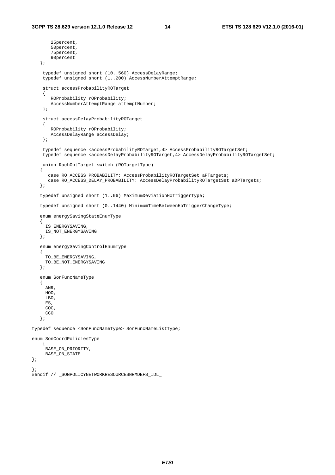```
 25percent, 
         50percent, 
         75percent, 
        90percent 
    }; 
     typedef unsigned short (10..560) AccessDelayRange; 
     typedef unsigned short (1..200) AccessNumberAttemptRange; 
     struct accessProbabilityROTarget 
     { 
        ROProbability rOProbability; 
        AccessNumberAttemptRange attemptNumber; 
     }; 
     struct accessDelayProbabilityROTarget 
    \left\{ \right. ROProbability rOProbability; 
        AccessDelayRange accessDelay; 
     }; 
     typedef sequence <accessProbabilityROTarget,4> AccessProbabilityROTargetSet; 
     typedef sequence <accessDelayProbabilityROTarget,4> AccessDelayProbabilityROTargetSet; 
     union RachOptTarget switch (ROTargetType) 
    { 
      case RO_ACCESS_PROBABILITY: AccessProbabilityROTargetSet aPTargets;
      case RO_ACCESS_DELAY_PROBABILITY: AccessDelayProbabilityROTargetSet aDPTargets;
    }; 
    typedef unsigned short (1..96) MaximumDeviationHoTriggerType; 
    typedef unsigned short (0..1440) MinimumTimeBetweenHoTriggerChangeType; 
    enum energySavingStateEnumType 
   \left\{ \right. IS_ENERGYSAVING, 
      IS_NOT_ENERGYSAVING 
    }; 
    enum energySavingControlEnumType 
    { 
     TO BE ENERGYSAVING,
      TO_BE_NOT_ENERGYSAVING 
    }; 
    enum SonFuncNameType 
    { 
      ANR, 
      HOO, 
      LBO, 
      ES, 
      COC, 
     CCO
    }; 
typedef sequence <SonFuncNameType> SonFuncNameListType; 
enum SonCoordPoliciesType 
     { 
      BASE_ON_PRIORITY, 
      BASE_ON_STATE
```
#endif // \_SONPOLICYNETWORKRESOURCESNRMDEFS\_IDL\_

}; };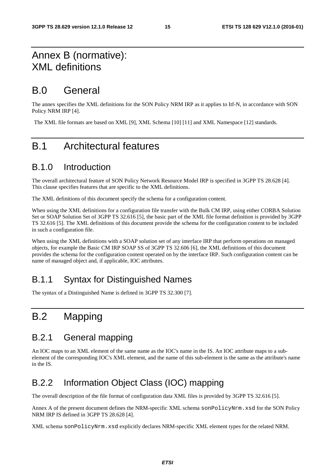# Annex B (normative): XML definitions

# B.0 General

The annex specifies the XML definitions for the SON Policy NRM IRP as it applies to Itf-N, in accordance with SON Policy NRM IRP [4].

The XML file formats are based on XML [9], XML Schema [10] [11] and XML Namespace [12] standards.

# B.1 Architectural features

#### B.1.0 Introduction

The overall architectural feature of SON Policy Network Resource Model IRP is specified in 3GPP TS 28.628 [4]. This clause specifies features that are specific to the XML definitions.

The XML definitions of this document specify the schema for a configuration content.

When using the XML definitions for a configuration file transfer with the Bulk CM IRP, using either CORBA Solution Set or SOAP Solution Set of 3GPP TS 32.616 [5], the basic part of the XML file format definition is provided by 3GPP TS 32.616 [5]. The XML definitions of this document provide the schema for the configuration content to be included in such a configuration file.

When using the XML definitions with a SOAP solution set of any interface IRP that perform operations on managed objects, for example the Basic CM IRP SOAP SS of 3GPP TS 32.606 [6], the XML definitions of this document provides the schema for the configuration content operated on by the interface IRP. Such configuration content can be name of managed object and, if applicable, IOC attributes.

#### B.1.1 Syntax for Distinguished Names

The syntax of a Distinguished Name is defined in 3GPP TS 32.300 [7].

# B.2 Mapping

#### B.2.1 General mapping

An IOC maps to an XML element of the same name as the IOC's name in the IS. An IOC attribute maps to a subelement of the corresponding IOC's XML element, and the name of this sub-element is the same as the attribute's name in the IS.

### B.2.2 Information Object Class (IOC) mapping

The overall description of the file format of configuration data XML files is provided by 3GPP TS 32.616 [5].

Annex A of the present document defines the NRM-specific XML schema sonPolicyNrm.xsd for the SON Policy NRM IRP IS defined in 3GPP TS 28.628 [4].

XML schema sonPolicyNrm.xsd explicitly declares NRM-specific XML element types for the related NRM.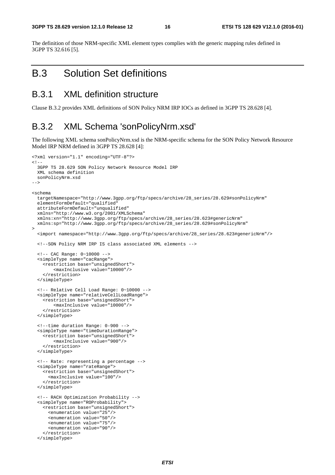The definition of those NRM-specific XML element types complies with the generic mapping rules defined in 3GPP TS 32.616 [5].

# B.3 Solution Set definitions

#### B.3.1 XML definition structure

Clause B.3.2 provides XML definitions of SON Policy NRM IRP IOCs as defined in 3GPP TS 28.628 [4].

#### B.3.2 XML Schema 'sonPolicyNrm.xsd'

The following XML schema sonPolicyNrm.xsd is the NRM-specific schema for the SON Policy Network Resource Model IRP NRM defined in 3GPP TS 28.628 [4]:

```
<?xml version="1.1" encoding="UTF-8"?> 
< ! - - 3GPP TS 28.629 SON Policy Network Resource Model IRP 
   XML schema definition 
   sonPolicyNrm.xsd 
--> 
<schema 
   targetNamespace="http://www.3gpp.org/ftp/specs/archive/28_series/28.629#sonPolicyNrm" 
   elementFormDefault="qualified" 
   attributeFormDefault="unqualified" 
   xmlns="http://www.w3.org/2001/XMLSchema" 
   xmlns:xn="http://www.3gpp.org/ftp/specs/archive/28_series/28.623#genericNrm" 
   xmlns:sp="http://www.3gpp.org/ftp/specs/archive/28_series/28.629#sonPolicyNrm" 
\sim <import namespace="http://www.3gpp.org/ftp/specs/archive/28_series/28.623#genericNrm"/> 
   <!--SON Policy NRM IRP IS class associated XML elements --> 
   <!-- CAC Range: 0~10000 --> 
   <simpleType name="cacRange"> 
     <restriction base="unsignedShort"> 
         <maxInclusive value="10000"/> 
     </restriction> 
   </simpleType> 
   <!-- Relative Cell Load Range: 0~10000 --> 
   <simpleType name="relativeCellLoadRange"> 
     <restriction base="unsignedShort"> 
         <maxInclusive value="10000"/> 
     </restriction> 
   </simpleType> 
   <!--time duration Range: 0-900 --> 
   <simpleType name="timeDurationRange"> 
     <restriction base="unsignedShort"> 
         <maxInclusive value="900"/> 
     </restriction> 
   </simpleType> 
   <!-- Rate: representing a percentage --> 
   <simpleType name="rateRange"> 
     <restriction base="unsignedShort"> 
       <maxInclusive value="100"/> 
     </restriction> 
   </simpleType> 
   <!-- RACH Optimization Probability --> 
   <simpleType name="ROProbability"> 
     <restriction base="unsignedShort"> 
       <enumeration value="25"/> 
       <enumeration value="50"/> 
       <enumeration value="75"/> 
       <enumeration value="90"/> 
     </restriction> 
   </simpleType>
```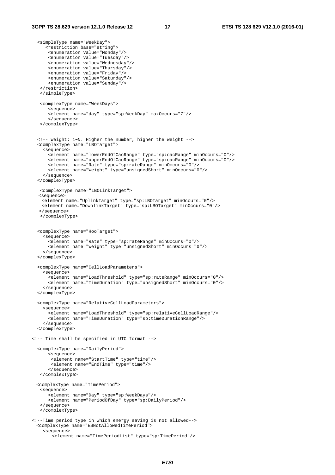```
 <simpleType name="WeekDay"> 
      <restriction base="string"> 
       <enumeration value="Monday"/> 
       <enumeration value="Tuesday"/> 
       <enumeration value="Wednesday"/> 
       <enumeration value="Thursday"/> 
       <enumeration value="Friday"/> 
       <enumeration value="Saturday"/> 
       <enumeration value="Sunday"/> 
    </restriction> 
    </simpleType> 
    <complexType name="WeekDays"> 
       <sequence> 
       <element name="day" type="sp:WeekDay" maxOccurs="7"/> 
       </sequence> 
    </complexType> 
   <!-- Weight: 1~N. Higher the number, higher the weight --> 
   <complexType name="LBOTarget"> 
     <sequence> 
 <element name="lowerEndOfCacRange" type="sp:cacRange" minOccurs="0"/> 
 <element name="upperEndOfCacRange" type="sp:cacRange" minOccurs="0"/> 
       <element name="Rate" type="sp:rateRange" minOccurs="0"/> 
       <element name="Weight" type="unsignedShort" minOccurs="0"/> 
     </sequence> 
   </complexType> 
    <complexType name="LBOLinkTarget"> 
   <sequence> 
    <element name="UplinkTarget" type="sp:LBOTarget" minOccurs="0"/> 
    <element name="DownlinkTarget" type="sp:LBOTarget" minOccurs="0"/> 
   </sequence> 
   </complexType> 
   <complexType name="HooTarget"> 
     <sequence> 
       <element name="Rate" type="sp:rateRange" minOccurs="0"/> 
       <element name="Weight" type="unsignedShort" minOccurs="0"/> 
     </sequence> 
   </complexType> 
   <complexType name="CellLoadParameters"> 
     <sequence> 
       <element name="LoadThreshold" type="sp:rateRange" minOccurs="0"/> 
       <element name="TimeDuration" type="unsignedShort" minOccurs="0"/> 
     </sequence> 
   </complexType> 
   <complexType name="RelativeCellLoadParameters"> 
     <sequence> 
       <element name="LoadThreshold" type="sp:relativeCellLoadRange"/> 
       <element name="TimeDuration" type="sp:timeDurationRange"/> 
     </sequence> 
   </complexType> 
<!-- Time shall be specified in UTC format --> 
   <complexType name="DailyPeriod"> 
       <sequence> 
        <element name="StartTime" type="time"/> 
        <element name="EndTime" type="time"/> 
       </sequence> 
    </complexType> 
 <complexType name="TimePeriod"> 
    <sequence> 
       <element name="Day" type="sp:WeekDays"/> 
       <element name="PeriodOfDay" type="sp:DailyPeriod"/> 
    </sequence> 
    </complexType> 
<!--Time period type in which energy saving is not allowed--> 
 <complexType name="ESNotAllowedTimePeriod"> 
    <sequence> 
        <element name="TimePeriodList" type="sp:TimePeriod"/>
```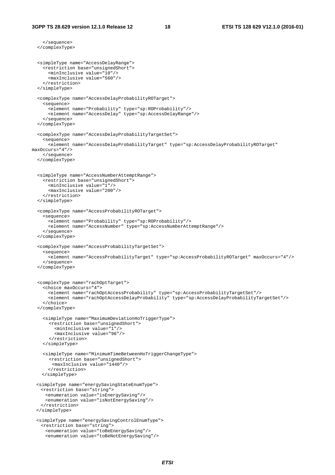```
 </sequence> 
   </complexType> 
   <simpleType name="AccessDelayRange"> 
     <restriction base="unsignedShort"> 
       <minInclusive value="10"/> 
       <maxInclusive value="560"/> 
     </restriction> 
   </simpleType> 
   <complexType name="AccessDelayProbabilityROTarget"> 
     <sequence> 
       <element name="Probability" type="sp:ROProbability"/> 
       <element name="AccessDelay" type="sp:AccessDelayRange"/> 
     </sequence> 
   </complexType> 
   <complexType name="AccessDelayProbabilityTargetSet"> 
     <sequence> 
      <element name="AccessDelayProbabilityTarget" type="sp:AccessDelayProbabilityROTarget" 
maxOccurs="4"/> 
     </sequence> 
   </complexType> 
   <simpleType name="AccessNumberAttemptRange"> 
     <restriction base="unsignedShort"> 
       <minInclusive value="1"/> 
       <maxInclusive value="200"/> 
     </restriction> 
   </simpleType> 
   <complexType name="AccessProbabilityROTarget"> 
     <sequence> 
       <element name="Probability" type="sp:ROProbability"/> 
       <element name="AccessNumber" type="sp:AccessNumberAttemptRange"/> 
     </sequence> 
   </complexType> 
   <complexType name="AccessProbabilityTargetSet"> 
     <sequence> 
       <element name="AccessProbabilityTarget" type="sp:AccessProbabilityROTarget" maxOccurs="4"/> 
     </sequence> 
   </complexType> 
   <complexType name="rachOptTarget"> 
     <choice maxOccurs="4"> 
       <element name="rachOptAccessProbability" type="sp:AccessProbabilityTargetSet"/> 
       <element name="rachOptAccessDelayProbability" type="sp:AccessDelayProbabilityTargetSet"/> 
     </choice> 
   </complexType> 
     <simpleType name="MaximumDeviationHoTriggerType"> 
       <restriction base="unsignedShort"> 
         <minInclusive value="1"/> 
          <maxInclusive value="96"/> 
        </restriction> 
     </simpleType> 
     <simpleType name="MinimumTimeBetweenHoTriggerChangeType"> 
       <restriction base="unsignedShort"> 
         <maxInclusive value="1440"/> 
       </restriction> 
     </simpleType> 
   <simpleType name="energySavingStateEnumType"> 
    <restriction base="string"> 
      <enumeration value="isEnergySaving"/> 
      <enumeration value="isNotEnergySaving"/> 
    </restriction> 
  </simpleType> 
   <simpleType name="energySavingControlEnumType"> 
    <restriction base="string"> 
      <enumeration value="toBeEnergySaving"/> 
      <enumeration value="toBeNotEnergySaving"/>
```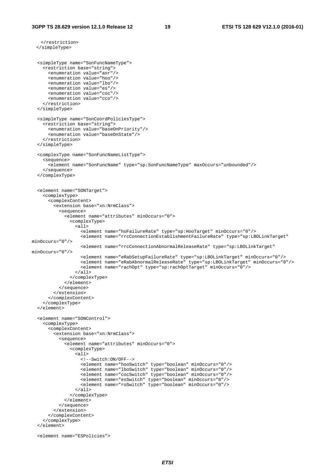```
 </restriction> 
  </simpleType> 
   <simpleType name="SonFuncNameType"> 
     <restriction base="string"> 
       <enumeration value="anr"/> 
       <enumeration value="hoo"/> 
       <enumeration value="lbo"/> 
       <enumeration value="es"/> 
       <enumeration value="coc"/> 
       <enumeration value="cco"/> 
     </restriction> 
   </simpleType> 
   <simpleType name="SonCoordPoliciesType"> 
     <restriction base="string"> 
       <enumeration value="baseOnPriority"/> 
       <enumeration value="baseOnState"/> 
     </restriction> 
   </simpleType> 
   <complexType name="SonFuncNameListType"> 
     <sequence> 
       <element name="SonFuncName" type="sp:SonFuncNameType" maxOccurs="unbounded"/> 
     </sequence> 
   </complexType> 
   <element name="SONTarget"> 
     <complexType> 
       <complexContent> 
         <extension base="xn:NrmClass"> 
           <sequence> 
             <element name="attributes" minOccurs="0"> 
                <complexType> 
                  <all> 
                    <element name="hoFailureRate" type="sp:HooTarget" minOccurs="0"/> 
                    <element name="rrcConnectionEstablishmentFailureRate" type="sp:LBOLinkTarget" 
minOccurs="0"/> 
                    <element name="rrcConnectionAbnormalReleaseRate" type="sp:LBOLinkTarget" 
minOccurs="0"/> 
                    <element name="eRabSetupFailureRate" type="sp:LBOLinkTarget" minOccurs="0"/> 
                    <element name="eRabAbnormalReleaseRate" type="sp:LBOLinkTarget" minOccurs="0"/> 
                    <element name="rachOpt" type="sp:rachOptTarget" minOccurs="0"/> 
                  </all> 
                </complexType> 
             </element> 
           </sequence> 
         </extension> 
       </complexContent> 
     </complexType> 
   </element> 
   <element name="SONControl"> 
     <complexType> 
       <complexContent> 
         <extension base="xn:NrmClass"> 
           <sequence> 
             <element name="attributes" minOccurs="0"> 
                <complexType> 
                  <all> 
                    <!--Switch:ON/OFF--> 
 <element name="hooSwitch" type="boolean" minOccurs="0"/> 
 <element name="lboSwitch" type="boolean" minOccurs="0"/> 
                    <element name="cocSwitch" type="boolean" minOccurs="0"/> 
                    <element name="esSwitch" type="boolean" minOccurs="0"/> 
                    <element name="roSwitch" type="boolean" minOccurs="0"/> 
                 \langleall\rangle </complexType> 
              </element> 
           </sequence> 
         </extension> 
       </complexContent> 
     </complexType> 
   </element> 
   <element name="ESPolicies">
```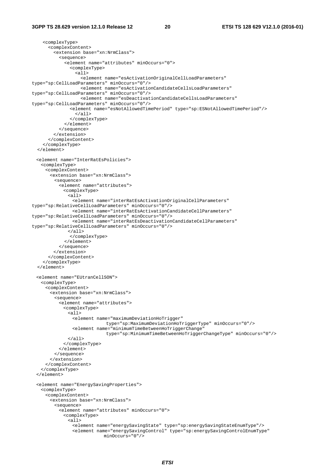```
 <complexType> 
       <complexContent> 
         <extension base="xn:NrmClass"> 
            <sequence> 
              <element name="attributes" minOccurs="0"> 
                <complexType> 
                  <all> 
                   --<br><element name="esActivationOriginalCellLoadParameters"
type="sp:CellLoadParameters" minOccurs="0"/> 
                    <element name="esActivationCandidateCellsLoadParameters" 
type="sp:CellLoadParameters" minOccurs="0"/> 
                    <element name="esDeactivationCandidateCellsLoadParameters" 
type="sp:CellLoadParameters" minOccurs="0"/> 
                <element name="esNotAllowedTimePeriod" type="sp:ESNotAllowedTimePeriod"/> 
                  </all> 
                </complexType> 
              </element> 
            </sequence> 
          </extension> 
       </complexContent> 
     </complexType> 
   </element> 
   <element name="InterRatEsPolicies"> 
    <complexType> 
      <complexContent> 
        <extension base="xn:NrmClass"> 
          <sequence> 
            <element name="attributes"> 
              <complexType> 
               <all> 
                 <element name="interRatEsActivationOriginalCellParameters" 
type="sp:RelativeCellLoadParameters" minOccurs="0"/> 
                 <element name="interRatEsActivationCandidateCellParameters" 
type="sp:RelativeCellLoadParameters" minOccurs="0"/> 
                 <element name="interRatEsDeactivationCandidateCellParameters" 
type="sp:RelativeCellLoadParameters" minOccurs="0"/> 
               </all> 
                </complexType> 
              </element> 
            </sequence> 
         </extension> 
       </complexContent> 
     </complexType> 
   </element> 
   <element name="EUtranCellSON"> 
    <complexType> 
      <complexContent> 
        <extension base="xn:NrmClass"> 
          <sequence> 
            <element name="attributes"> 
             <complexType> 
               <all> 
                 <element name="maximumDeviationHoTrigger" 
                              type="sp:MaximumDeviationHoTriggerType" minOccurs="0"/> 
                 <element name="minimumTimeBetweenHoTriggerChange" 
                               type="sp:MinimumTimeBetweenHoTriggerChangeType" minOccurs="0"/> 
               </all> 
             </complexType> 
            </element> 
          </sequence> 
        </extension> 
      </complexContent> 
    </complexType> 
   </element> 
   <element name="EnergySavingProperties"> 
    <complexType> 
      <complexContent> 
        <extension base="xn:NrmClass"> 
          <sequence> 
            <element name="attributes" minOccurs="0"> 
              <complexType> 
               <all> 
                 <element name="energySavingState" type="sp:energySavingStateEnumType"/> 
                 <element name="energySavingControl" type="sp:energySavingControlEnumType" 
                              minOccurs="0"/>
```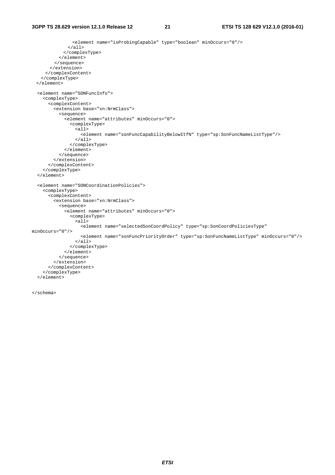```
 <element name="isProbingCapable" type="boolean" minOccurs="0"/> 
                </all> 
              </complexType> 
            </element> 
          </sequence> 
        </extension> 
      </complexContent> 
    </complexType> 
   </element> 
   <element name="SONFuncInfo"> 
     <complexType> 
       <complexContent> 
          <extension base="xn:NrmClass"> 
            <sequence> 
              <element name="attributes" minOccurs="0"> 
                 <complexType> 
                   <all> 
                     <element name="sonFuncCapabilityBelowItfN" type="sp:SonFuncNameListType"/> 
                  \langleall\rangle </complexType> 
              </element> 
            </sequence> 
          </extension> 
       </complexContent> 
     </complexType> 
   </element> 
   <element name="SONCoordinationPolicies"> 
     <complexType> 
       <complexContent> 
          <extension base="xn:NrmClass"> 
            <sequence> 
              <element name="attributes" minOccurs="0"> 
                 <complexType> 
                   <all> 
                     <element name="selectedSonCoordPolicy" type="sp:SonCoordPoliciesType" 
minOccurs="0"/> 
                     <element name="sonFuncPriorityOrder" type="sp:SonFuncNameListType" minOccurs="0"/> 
                  \langleall\rangle </complexType> 
              </element> 
            </sequence> 
          </extension> 
       </complexContent> 
     </complexType> 
   </element>
```
</schema>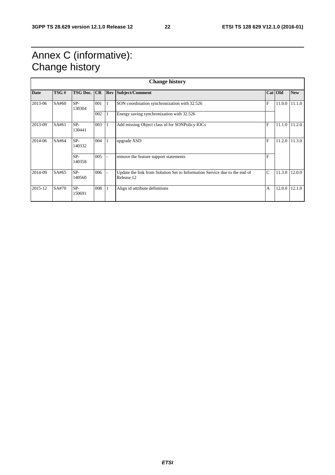# Annex C (informative): Change history

| <b>Change history</b> |       |                    |     |              |                                                                                          |               |         |            |  |
|-----------------------|-------|--------------------|-----|--------------|------------------------------------------------------------------------------------------|---------------|---------|------------|--|
| <b>Date</b>           | TSG#  | <b>TSG Doc. CR</b> |     | <b>Rev</b>   | Subject/Comment                                                                          |               | Cat Old | <b>New</b> |  |
| 2013-06               | SA#60 | $SP-$<br>130304    | 001 | $\mathbf{1}$ | SON coordination synchronization with 32.526                                             | F             | 11.0.0  | 11.1.0     |  |
|                       |       |                    | 002 |              | Energy saving synchronization with 32.526                                                |               |         |            |  |
| 2013-09               | SA#61 | $SP-$<br>130441    | 003 |              | Add missing Object class id for SONPolicy IOCs                                           | F             | 11.1.0  | 11.2.0     |  |
| 2014-06               | SA#64 | $SP-$<br>140332    | 004 | 1            | upgrade XSD                                                                              | F             | 11.2.0  | 11.3.0     |  |
|                       |       | $SP-$<br>140358    | 005 |              | remove the feature support statements                                                    | F             |         |            |  |
| 2014-09               | SA#65 | $SP-$<br>140560    | 006 |              | Update the link from Solution Set to Information Service due to the end of<br>Release 12 | $\mathcal{C}$ | 11.3.0  | 12.0.0     |  |
| 2015-12               | SA#70 | $SP-$<br>150691    | 008 |              | Align id attribute definitions                                                           | A             | 12.0.0  | 12.1.0     |  |